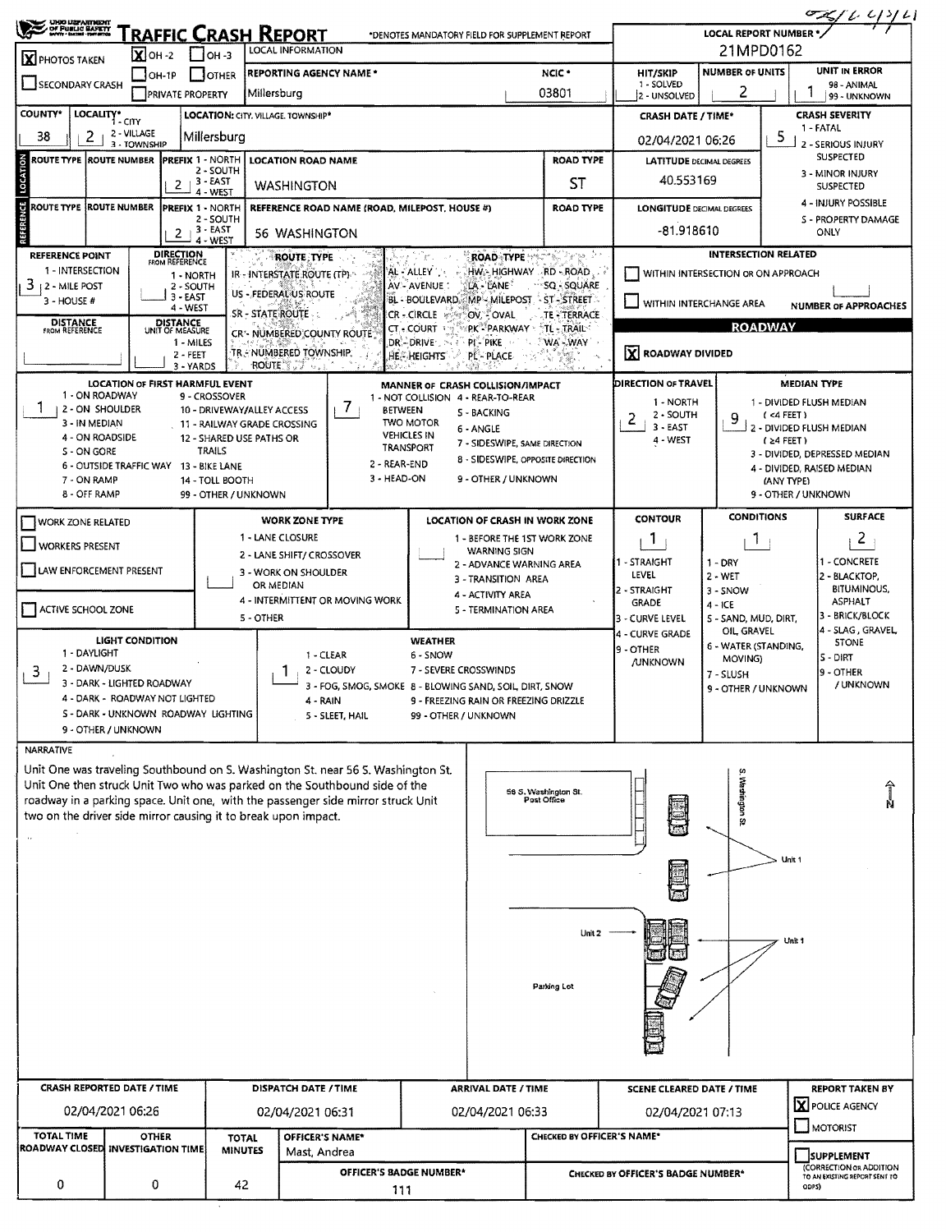|                                                                                                                                                                     | <b>UNO UZPARTMENT</b><br>OF PUBLIC BARKTY<br><b>RAFFIC CRASH REPORT</b><br>*DENOTES MANDATORY FIELD FOR SUPPLEMENT REPORT<br><b>LOCAL INFORMATION</b> |                              |                                                                       |                                               |                                                                |                                                                                                                                                                |                                                   |                                                                             |                                               | LOCAL REPORT NUMBER $\frac{G(x)}{G(x)}$<br>21MPD0162   |                                    |                                          |                                   |  |  |  |
|---------------------------------------------------------------------------------------------------------------------------------------------------------------------|-------------------------------------------------------------------------------------------------------------------------------------------------------|------------------------------|-----------------------------------------------------------------------|-----------------------------------------------|----------------------------------------------------------------|----------------------------------------------------------------------------------------------------------------------------------------------------------------|---------------------------------------------------|-----------------------------------------------------------------------------|-----------------------------------------------|--------------------------------------------------------|------------------------------------|------------------------------------------|-----------------------------------|--|--|--|
| X PHOTOS TAKEN                                                                                                                                                      |                                                                                                                                                       | $\mathbf{X}$ OH -2<br>TOH-1P | $1$ OH 3                                                              |                                               | <b>REPORTING AGENCY NAME*</b>                                  |                                                                                                                                                                |                                                   |                                                                             | NCIC <sup>*</sup>                             | <b>HIT/SKIP</b>                                        | <b>NUMBER OF UNITS</b>             |                                          | UNIT IN ERROR                     |  |  |  |
| <b>OTHER</b><br>SECONDARY CRASH<br><b>PRIVATE PROPERTY</b>                                                                                                          |                                                                                                                                                       |                              |                                                                       | Millersburg                                   |                                                                |                                                                                                                                                                | 1 - SOLVED<br>2 - UNSOLVED                        | 98 - ANIMAL<br>99 - UNKNOWN                                                 |                                               |                                                        |                                    |                                          |                                   |  |  |  |
| <b>COUNTY*</b>                                                                                                                                                      | LOCALITY* CITY                                                                                                                                        |                              |                                                                       |                                               | LOCATION: CITY. VILLAGE. TOWNSHIP*                             |                                                                                                                                                                |                                                   | <b>CRASH DATE / TIME*</b>                                                   |                                               |                                                        | <b>CRASH SEVERITY</b>              |                                          |                                   |  |  |  |
| 38                                                                                                                                                                  | 2                                                                                                                                                     | 2 - VILLAGE<br>3 - TOWNSHIP  |                                                                       | Millersburg                                   |                                                                |                                                                                                                                                                |                                                   |                                                                             | 02/04/2021 06:26                              |                                                        | 5                                  | 1 - FATAL<br>2 - SERIOUS INJURY          |                                   |  |  |  |
| LOCATION<br>ROUTE TYPE  ROUTE NUMBER<br><b>PREFIX 1 - NORTH</b><br>2 - SOUTH                                                                                        |                                                                                                                                                       |                              |                                                                       | <b>LOCATION ROAD NAME</b>                     |                                                                |                                                                                                                                                                | <b>ROAD TYPE</b>                                  | <b>LATITUDE DECIMAL DEGREES</b>                                             |                                               | <b>SUSPECTED</b><br>3 - MINOR INJURY                   |                                    |                                          |                                   |  |  |  |
| $2 + 3 - EAST$<br>4 - WEST                                                                                                                                          |                                                                                                                                                       |                              |                                                                       | <b>WASHINGTON</b>                             |                                                                |                                                                                                                                                                | ST                                                | 40.553169                                                                   |                                               |                                                        | SUSPECTED                          |                                          |                                   |  |  |  |
| ROUTE TYPE  ROUTE NUMBER<br><b>PREFIX 1 - NORTH</b><br>2 - SOUTH                                                                                                    |                                                                                                                                                       |                              |                                                                       | REFERENCE ROAD NAME (ROAD, MILEPOST, HOUSE #) |                                                                | <b>ROAD TYPE</b>                                                                                                                                               | <b>LONGITUDE DECIMAL DEGREES</b>                  |                                                                             |                                               | 4 - INJURY POSSIBLE<br>S - PROPERTY DAMAGE             |                                    |                                          |                                   |  |  |  |
| REFERENCE                                                                                                                                                           | 3 - EAST<br>2<br>4 - WEST                                                                                                                             |                              |                                                                       |                                               | <b>56 WASHINGTON</b>                                           |                                                                                                                                                                |                                                   |                                                                             |                                               | -81.918610                                             |                                    |                                          | ONLY                              |  |  |  |
| <b>DIRECTION</b><br><b>REFERENCE POINT</b><br>FROM REFERENCE<br>1 - INTERSECTION                                                                                    |                                                                                                                                                       |                              |                                                                       |                                               | <b>ROUTE TYPE</b>                                              |                                                                                                                                                                |                                                   | <b>ROAD TYPE</b>                                                            | HW - HIGHWAY RD - ROAD                        |                                                        | <b>INTERSECTION RELATED</b>        |                                          |                                   |  |  |  |
| $3 + 2 -$ MILE POST                                                                                                                                                 |                                                                                                                                                       |                              | 1 - NORTH<br>2 - SOUTH                                                |                                               | IR - INTERSTATE ROUTE (TP).<br>US - FEDERAL US ROUTE           |                                                                                                                                                                | AL-ALLEY<br>AV - AVENUE :                         | LA - LANE                                                                   | WITHIN INTERSECTION OR ON APPROACH            |                                                        |                                    |                                          |                                   |  |  |  |
| $3 - HOUSE H$                                                                                                                                                       |                                                                                                                                                       |                              | 3 - EAST<br>4 - WEST                                                  |                                               | SR - STATE ROUTE                                               |                                                                                                                                                                | BL - BOULEVARD, MP - MILEPOST<br><b>CR-CIRCLE</b> | OV COVAL                                                                    | ST-STREET<br>TE - TERRACE                     | WITHIN INTERCHANGE AREA<br><b>NUMBER OF APPROACHES</b> |                                    |                                          |                                   |  |  |  |
| <b>DISTANCE</b><br>FROM REFERENCE                                                                                                                                   |                                                                                                                                                       |                              | DISTANCE<br>UNIT OF MEASURE<br>1 - MILES                              |                                               | CR*- NUMBERED COUNTY ROUTE                                     |                                                                                                                                                                | CT. COURT<br>DR-DRIVE.                            | PK PARKWAY :<br>PI - PIKE                                                   | <b>TL - TRAIL</b><br>©WA`÷WAY                 | <b>ROADWAY</b>                                         |                                    |                                          |                                   |  |  |  |
|                                                                                                                                                                     |                                                                                                                                                       |                              | 2 - FEET<br>3 - YARDS                                                 |                                               | TR - NÜMBERED TOWNSHIP.<br>ROUTE 200                           |                                                                                                                                                                | <b>HE - HEIGHTS</b>                               | <b>PL-PLACE</b>                                                             |                                               | X ROADWAY DIVIDED                                      |                                    |                                          |                                   |  |  |  |
|                                                                                                                                                                     |                                                                                                                                                       |                              | <b>LOCATION OF FIRST HARMFUL EVENT</b>                                |                                               |                                                                |                                                                                                                                                                | MANNER OF CRASH COLLISION/IMPACT                  |                                                                             |                                               | <b>DIRECTION OF TRAVEL</b>                             |                                    | <b>MEDIAN TYPE</b>                       |                                   |  |  |  |
|                                                                                                                                                                     | 1 - ON ROADWAY<br>2 - ON SHOULDER                                                                                                                     |                              | 9 - CROSSOVER                                                         |                                               | 10 - DRIVEWAY/ALLEY ACCESS                                     | $\prime$<br><b>BETWEEN</b>                                                                                                                                     | 1 - NOT COLLISION 4 - REAR-TO-REAR                | S - BACKING                                                                 |                                               | 1 - NORTH                                              | 9                                  | 1 - DIVIDED FLUSH MEDIAN<br>$($ <4 FEET) |                                   |  |  |  |
|                                                                                                                                                                     | 3 - IN MEDIAN                                                                                                                                         |                              |                                                                       |                                               | 11 - RAILWAY GRADE CROSSING                                    |                                                                                                                                                                | <b>TWO MOTOR</b><br><b>VEHICLES IN</b>            | 6 - ANGLE                                                                   |                                               | 2 - SOUTH<br>2<br>$3 - EAST$                           | 2 - DIVIDED FLUSH MEDIAN           |                                          |                                   |  |  |  |
| S - ON GORE                                                                                                                                                         | 4 - ON ROADSIDE                                                                                                                                       |                              | <b>TRAILS</b>                                                         |                                               | 12 - SHARED USE PATHS OR                                       |                                                                                                                                                                | <b>TRANSPORT</b>                                  | 7 - SIDESWIPE, SAME DIRECTION                                               |                                               | 4 - WEST                                               | 3 - DIVIDED, DEPRESSED MEDIAN      |                                          |                                   |  |  |  |
| 8 - SIDESWIPE, OPPOSITE DIRECTION<br>2 - REAR-END<br>6 - OUTSIDE TRAFFIC WAY 13 - BIKE LANE<br>3 - HEAD-ON<br>9 - OTHER / UNKNOWN<br>7 - ON RAMP<br>14 - TOLL BOOTH |                                                                                                                                                       |                              |                                                                       |                                               |                                                                |                                                                                                                                                                |                                                   |                                                                             |                                               |                                                        |                                    | (ANY TYPE)                               | 4 - DIVIDED, RAISED MEDIAN        |  |  |  |
|                                                                                                                                                                     | 8 - OFF RAMP                                                                                                                                          |                              |                                                                       | 99 - OTHER / UNKNOWN                          |                                                                |                                                                                                                                                                |                                                   |                                                                             |                                               |                                                        |                                    | 9 - OTHER / UNKNOWN                      |                                   |  |  |  |
| <b>WORK ZONE RELATED</b>                                                                                                                                            |                                                                                                                                                       |                              |                                                                       |                                               | <b>WORK ZONE TYPE</b>                                          |                                                                                                                                                                |                                                   |                                                                             | <b>LOCATION OF CRASH IN WORK ZONE</b>         | <b>CONTOUR</b>                                         | <b>CONDITIONS</b>                  |                                          | <b>SURFACE</b>                    |  |  |  |
| <b>WORKERS PRESENT</b>                                                                                                                                              |                                                                                                                                                       |                              |                                                                       |                                               | 1 - LANE CLOSURE<br>2 - LANE SHIFT/ CROSSOVER                  |                                                                                                                                                                |                                                   | <b>WARNING SIGN</b>                                                         | 1 - BEFORE THE 1ST WORK ZONE                  | Т.                                                     | T                                  |                                          | $\overline{2}$                    |  |  |  |
| LAW ENFORCEMENT PRESENT                                                                                                                                             |                                                                                                                                                       |                              |                                                                       | 3 - WORK ON SHOULDER                          |                                                                |                                                                                                                                                                | 2 - ADVANCE WARNING AREA<br>3 - TRANSITION AREA   |                                                                             | - STRAIGHT<br>$1 - DRY$<br>LEVEL<br>$2 - WET$ |                                                        |                                    | 1 - CONCRETE<br>2 - BLACKTOP,            |                                   |  |  |  |
|                                                                                                                                                                     |                                                                                                                                                       |                              |                                                                       | OR MEDIAN                                     | 4 - INTERMITTENT OR MOVING WORK                                |                                                                                                                                                                | 4 - ACTIVITY AREA                                 |                                                                             | 2 - STRAIGHT<br><b>GRADE</b>                  | $3 - SNOW$                                             |                                    | <b>BITUMINOUS,</b><br><b>ASPHALT</b>     |                                   |  |  |  |
| ACTIVE SCHOOL ZONE                                                                                                                                                  |                                                                                                                                                       |                              |                                                                       |                                               | 5 - OTHER                                                      |                                                                                                                                                                |                                                   | 5 - TERMINATION AREA                                                        |                                               | 3 - CURVE LEVEL                                        | $4 - ICE$<br>S - SAND, MUD, DIRT,  |                                          | 3 - BRICK/BLOCK                   |  |  |  |
|                                                                                                                                                                     |                                                                                                                                                       | <b>LIGHT CONDITION</b>       |                                                                       |                                               |                                                                |                                                                                                                                                                | <b>WEATHER</b>                                    |                                                                             |                                               | 4 - CURVE GRADE<br>9 - OTHER                           | OIL GRAVEL<br>6 - WATER (STANDING, |                                          | 4 - SLAG, GRAVEL,<br><b>STONE</b> |  |  |  |
| 1 - DAYLIGHT<br>3                                                                                                                                                   | 2 - DAWN/DUSK                                                                                                                                         |                              |                                                                       |                                               | 1                                                              | 1 - CLEAR<br>2 - CLOUDY                                                                                                                                        | 6 - SNOW<br>7 - SEVERE CROSSWINDS                 |                                                                             |                                               | <b>/UNKNOWN</b>                                        | MOVING)                            |                                          | S - DIRT<br>9 - OTHER             |  |  |  |
|                                                                                                                                                                     | 3 - DARK - LIGHTED ROADWAY                                                                                                                            |                              |                                                                       |                                               |                                                                | 3 - FOG, SMOG, SMOKE 8 - BLOWING SAND, SOIL, DIRT, SNOW                                                                                                        |                                                   |                                                                             |                                               |                                                        | 7 - SLUSH<br>9 - OTHER / UNKNOWN   |                                          | / UNKNOWN                         |  |  |  |
|                                                                                                                                                                     |                                                                                                                                                       |                              | 4 - DARK - ROADWAY NOT LIGHTED<br>S - DARK - UNKNOWN ROADWAY LIGHTING |                                               |                                                                | 5 - SLEET, HAIL                                                                                                                                                | 99 - OTHER / UNKNOWN                              | 9 - FREEZING RAIN OR FREEZING DRIZZLE                                       |                                               |                                                        |                                    |                                          |                                   |  |  |  |
|                                                                                                                                                                     | 9 - OTHER / UNKNOWN                                                                                                                                   |                              |                                                                       |                                               |                                                                |                                                                                                                                                                |                                                   |                                                                             |                                               |                                                        |                                    |                                          |                                   |  |  |  |
| <b>NARRATIVE</b>                                                                                                                                                    |                                                                                                                                                       |                              |                                                                       |                                               |                                                                |                                                                                                                                                                |                                                   |                                                                             |                                               |                                                        |                                    |                                          |                                   |  |  |  |
|                                                                                                                                                                     |                                                                                                                                                       |                              |                                                                       |                                               |                                                                | Unit One was traveling Southbound on S. Washington St. near 56 S. Washington St.<br>Unit One then struck Unit Two who was parked on the Southbound side of the |                                                   |                                                                             |                                               |                                                        |                                    |                                          | ⇑                                 |  |  |  |
|                                                                                                                                                                     |                                                                                                                                                       |                              |                                                                       |                                               | two on the driver side mirror causing it to break upon impact. | roadway in a parking space. Unit one, with the passenger side mirror struck Unit                                                                               |                                                   |                                                                             | 56 S. Washington St.<br>Post Office           |                                                        | Washington St                      |                                          |                                   |  |  |  |
|                                                                                                                                                                     |                                                                                                                                                       |                              |                                                                       |                                               |                                                                |                                                                                                                                                                |                                                   |                                                                             |                                               |                                                        |                                    |                                          |                                   |  |  |  |
|                                                                                                                                                                     |                                                                                                                                                       |                              |                                                                       |                                               |                                                                |                                                                                                                                                                |                                                   |                                                                             |                                               |                                                        |                                    | Unit 1                                   |                                   |  |  |  |
|                                                                                                                                                                     |                                                                                                                                                       |                              |                                                                       |                                               |                                                                |                                                                                                                                                                |                                                   |                                                                             |                                               |                                                        |                                    |                                          |                                   |  |  |  |
|                                                                                                                                                                     |                                                                                                                                                       |                              |                                                                       |                                               |                                                                |                                                                                                                                                                |                                                   |                                                                             |                                               |                                                        |                                    |                                          |                                   |  |  |  |
|                                                                                                                                                                     |                                                                                                                                                       |                              |                                                                       |                                               |                                                                |                                                                                                                                                                |                                                   |                                                                             | Unit 2                                        |                                                        |                                    |                                          |                                   |  |  |  |
|                                                                                                                                                                     |                                                                                                                                                       |                              |                                                                       |                                               |                                                                |                                                                                                                                                                |                                                   |                                                                             |                                               |                                                        |                                    | Unit 1                                   |                                   |  |  |  |
|                                                                                                                                                                     |                                                                                                                                                       |                              |                                                                       |                                               |                                                                |                                                                                                                                                                |                                                   |                                                                             |                                               |                                                        |                                    |                                          |                                   |  |  |  |
|                                                                                                                                                                     |                                                                                                                                                       |                              |                                                                       |                                               |                                                                |                                                                                                                                                                |                                                   |                                                                             | Parking Lot                                   |                                                        |                                    |                                          |                                   |  |  |  |
|                                                                                                                                                                     |                                                                                                                                                       |                              |                                                                       |                                               |                                                                |                                                                                                                                                                |                                                   |                                                                             |                                               |                                                        |                                    |                                          |                                   |  |  |  |
|                                                                                                                                                                     |                                                                                                                                                       |                              |                                                                       |                                               |                                                                |                                                                                                                                                                |                                                   |                                                                             |                                               |                                                        |                                    |                                          |                                   |  |  |  |
|                                                                                                                                                                     |                                                                                                                                                       |                              |                                                                       |                                               |                                                                |                                                                                                                                                                |                                                   |                                                                             |                                               |                                                        |                                    |                                          |                                   |  |  |  |
| <b>CRASH REPORTED DATE / TIME</b>                                                                                                                                   |                                                                                                                                                       |                              | DISPATCH DATE / TIME                                                  |                                               |                                                                | <b>ARRIVAL DATE / TIME</b>                                                                                                                                     |                                                   | <b>SCENE CLEARED DATE / TIME</b>                                            |                                               |                                                        | <b>REPORT TAKEN BY</b>             |                                          |                                   |  |  |  |
| 02/04/2021 06:26                                                                                                                                                    |                                                                                                                                                       |                              |                                                                       | 02/04/2021 06:31                              | 02/04/2021 06:33                                               |                                                                                                                                                                |                                                   | 02/04/2021 07:13                                                            |                                               |                                                        | <b>X</b> POLICE AGENCY             |                                          |                                   |  |  |  |
| <b>TOTAL TIME</b>                                                                                                                                                   |                                                                                                                                                       | <b>OTHER</b>                 |                                                                       | <b>TOTAL</b>                                  | OFFICER'S NAME*                                                |                                                                                                                                                                | CHECKED BY OFFICER'S NAME*                        |                                                                             |                                               |                                                        |                                    |                                          | $\Box$ MOTORIST                   |  |  |  |
|                                                                                                                                                                     | ROADWAY CLOSED INVESTIGATION TIME<br><b>MINUTES</b><br>Mast, Andrea<br>OFFICER'S BADGE NUMBER*                                                        |                              |                                                                       |                                               |                                                                |                                                                                                                                                                |                                                   | SUPPLEMENT<br>(CORRECTION OR ADDITION<br>CHECKED BY OFFICER'S BADGE NUMBER* |                                               |                                                        |                                    |                                          |                                   |  |  |  |
| 0                                                                                                                                                                   |                                                                                                                                                       | 0                            |                                                                       | 42                                            |                                                                | 111                                                                                                                                                            |                                                   |                                                                             |                                               | TO AN EXISTING REPORT SENT TO<br>ODPS)                 |                                    |                                          |                                   |  |  |  |
|                                                                                                                                                                     |                                                                                                                                                       |                              |                                                                       |                                               |                                                                |                                                                                                                                                                |                                                   |                                                                             |                                               |                                                        |                                    |                                          |                                   |  |  |  |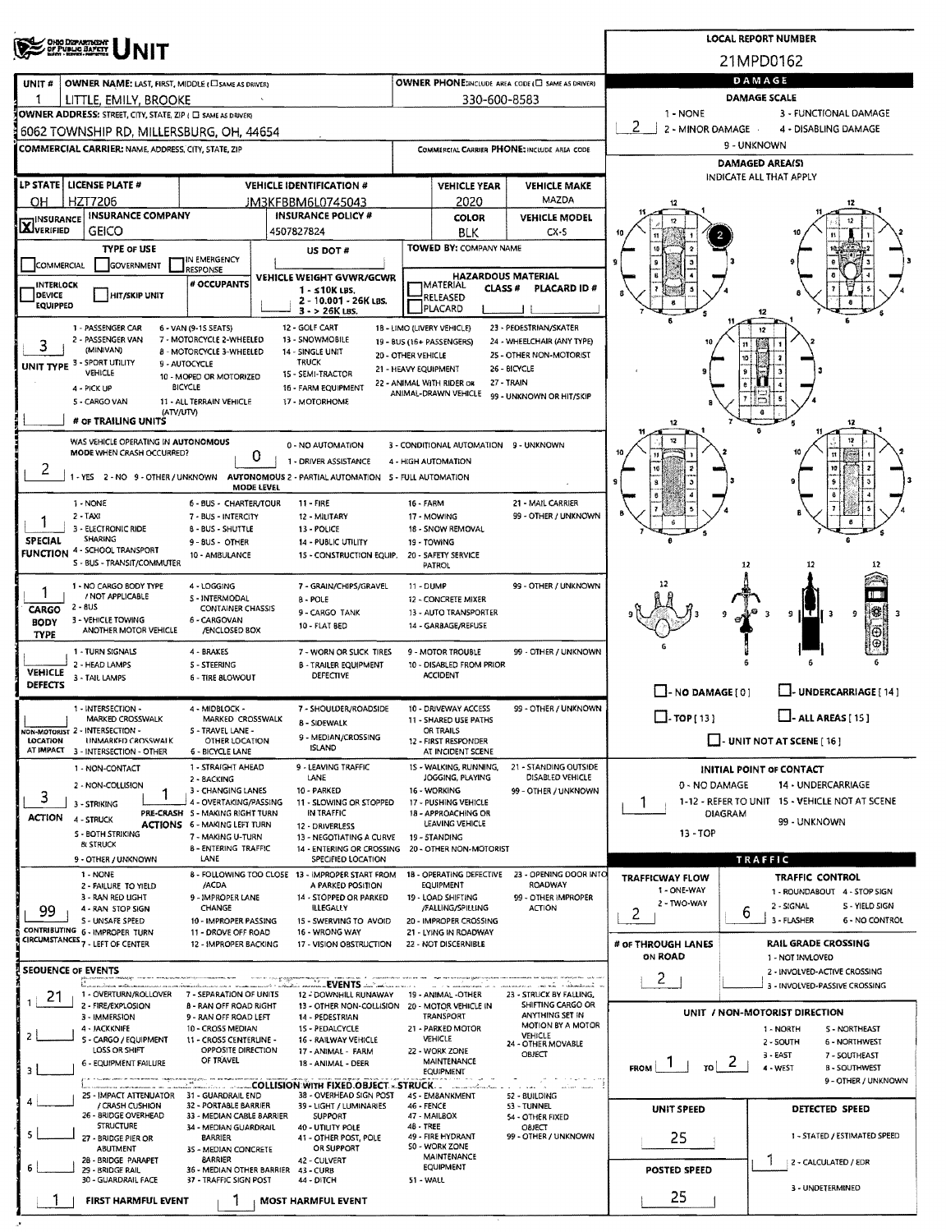|                                                                                                                                                                                                                                       | OHO DIZPARTMENT<br>OF PUBLIC BAPETY                                                    |                                                                        | <b>LOCAL REPORT NUMBER</b>                        |                                                                                |                                              |                                                   |                                                       |                                                         |                                                                      |  |  |  |  |  |  |  |
|---------------------------------------------------------------------------------------------------------------------------------------------------------------------------------------------------------------------------------------|----------------------------------------------------------------------------------------|------------------------------------------------------------------------|---------------------------------------------------|--------------------------------------------------------------------------------|----------------------------------------------|---------------------------------------------------|-------------------------------------------------------|---------------------------------------------------------|----------------------------------------------------------------------|--|--|--|--|--|--|--|
|                                                                                                                                                                                                                                       |                                                                                        |                                                                        | 21MPD0162                                         |                                                                                |                                              |                                                   |                                                       |                                                         |                                                                      |  |  |  |  |  |  |  |
| UNIT#                                                                                                                                                                                                                                 | OWNER NAME: LAST, FIRST, MIDDLE ( C SAME AS DRIVER)                                    |                                                                        | OWNER PHONE(INCLUDE AREA CODE (E) SAME AS DRIVER) | DAMAGE                                                                         |                                              |                                                   |                                                       |                                                         |                                                                      |  |  |  |  |  |  |  |
|                                                                                                                                                                                                                                       | LITTLE, EMILY, BROOKE                                                                  |                                                                        |                                                   | 330-600-8583                                                                   | <b>DAMAGE SCALE</b>                          |                                                   |                                                       |                                                         |                                                                      |  |  |  |  |  |  |  |
|                                                                                                                                                                                                                                       | OWNER ADDRESS: STREET, CITY, STATE, ZIP ( C) SAME AS DRIVERS                           |                                                                        |                                                   |                                                                                |                                              |                                                   |                                                       | 1 - NONE<br>2                                           | 3 - FUNCTIONAL DAMAGE                                                |  |  |  |  |  |  |  |
|                                                                                                                                                                                                                                       | 6062 TOWNSHIP RD, MILLERSBURG, OH, 44654                                               |                                                                        |                                                   |                                                                                |                                              |                                                   |                                                       | 2 - MINOR DAMAGE<br>4 - DISABLING DAMAGE<br>9 - UNKNOWN |                                                                      |  |  |  |  |  |  |  |
|                                                                                                                                                                                                                                       | <b>COMMERCIAL CARRIER: NAME, ADDRESS, CITY, STATE, ZIP</b>                             |                                                                        |                                                   |                                                                                |                                              |                                                   | COMMERCIAL CARRIER PHONE: INCLUDE AREA CODE           |                                                         | <b>DAMAGED AREA(S)</b>                                               |  |  |  |  |  |  |  |
|                                                                                                                                                                                                                                       | LP STATE   LICENSE PLATE #                                                             |                                                                        |                                                   | <b>VEHICLE IDENTIFICATION #</b>                                                |                                              |                                                   |                                                       |                                                         | INDICATE ALL THAT APPLY                                              |  |  |  |  |  |  |  |
| OH.                                                                                                                                                                                                                                   | HZT7206                                                                                |                                                                        |                                                   | JM3KFBBM6L0745043                                                              |                                              | <b>VEHICLE YEAR</b><br>2020                       | <b>VEHICLE MAKE</b><br>MAZDA                          |                                                         |                                                                      |  |  |  |  |  |  |  |
| INSURANCE                                                                                                                                                                                                                             | <b>INSURANCE COMPANY</b>                                                               |                                                                        |                                                   | <b>INSURANCE POLICY #</b>                                                      |                                              | <b>COLOR</b>                                      | <b>VEHICLE MODEL</b>                                  |                                                         |                                                                      |  |  |  |  |  |  |  |
| <b>X</b> VERIFIED                                                                                                                                                                                                                     | <b>GEICO</b>                                                                           |                                                                        |                                                   | 4507827824                                                                     |                                              | <b>BLK</b>                                        | $CX-5$                                                |                                                         |                                                                      |  |  |  |  |  |  |  |
|                                                                                                                                                                                                                                       | <b>TYPE OF USE</b>                                                                     | IN EMERGENCY                                                           |                                                   | US DOT #                                                                       |                                              | <b>TOWED BY: COMPANY NAME</b>                     |                                                       |                                                         |                                                                      |  |  |  |  |  |  |  |
| <b>COMMERCIAL</b>                                                                                                                                                                                                                     | <b>GOVERNMENT</b>                                                                      | <b>RESPONSE</b>                                                        |                                                   | <b>VEHICLE WEIGHT GVWR/GCWR</b>                                                |                                              |                                                   | <b>HAZARDOUS MATERIAL</b>                             |                                                         |                                                                      |  |  |  |  |  |  |  |
| INTERLOCK<br>DEVICE                                                                                                                                                                                                                   | HIT/SKIP UNIT                                                                          | # OCCUPANTS                                                            |                                                   | $1 - 510K$ LBS.<br>2 - 10.001 - 26K LBS.                                       |                                              | <b>IMATERIAL</b><br>CLASS #<br>RELEASED           | PLACARD ID#                                           |                                                         |                                                                      |  |  |  |  |  |  |  |
| <b>EQUIPPED</b>                                                                                                                                                                                                                       |                                                                                        |                                                                        |                                                   | $3 - 26K$ LBS.                                                                 |                                              | PLACARD                                           |                                                       |                                                         | 12                                                                   |  |  |  |  |  |  |  |
|                                                                                                                                                                                                                                       | 1 - PASSENGER CAR<br>2 - PASSENGER VAN                                                 | 6 - VAN (9-15 SEATS)<br>7 - MOTORCYCLE 2-WHEELED                       |                                                   | 12 - GOLF CART<br>13 - SNOWMOBILE                                              |                                              | 18 - LIMO (LIVERY VEHICLE)                        | 23 - PEDESTRIAN/SKATER                                |                                                         | 12                                                                   |  |  |  |  |  |  |  |
| 3                                                                                                                                                                                                                                     | (MINIVAN)                                                                              | 8 - MOTORCYCLE 3-WHEELED                                               |                                                   | 14 - SINGLE UNIT                                                               | 20 - OTHER VEHICLE                           | 19 - BUS (16 + PASSENGERS)                        | 24 - WHEELCHAIR (ANY TYPE)<br>25 - OTHER NON-MOTORIST |                                                         |                                                                      |  |  |  |  |  |  |  |
|                                                                                                                                                                                                                                       | UNIT TYPE 3 - SPORT UTILITY<br>VEHICLE                                                 | 9 - AUTOCYCLE<br>10 - MOPED OR MOTORIZED                               |                                                   | <b>TRUCK</b><br>15 - SEMI-TRACTOR                                              |                                              | 21 - HEAVY EQUIPMENT                              | 26 - BICYCLE                                          |                                                         |                                                                      |  |  |  |  |  |  |  |
|                                                                                                                                                                                                                                       | 4 - PICK UP                                                                            | <b>BICYCLE</b>                                                         |                                                   | 16 - FARM EQUIPMENT                                                            |                                              | 22 - ANIMAL WITH RIDER OR<br>ANIMAL-DRAWN VEHICLE | 27 - TRAIN<br>99 - UNKNOWN OR HIT/SKIP                |                                                         |                                                                      |  |  |  |  |  |  |  |
|                                                                                                                                                                                                                                       | 5 - CARGO VAN<br>(ATV/UTV)                                                             | 11 - ALL TERRAIN VEHICLE                                               |                                                   | 17 - MOTORHOME                                                                 |                                              |                                                   |                                                       |                                                         |                                                                      |  |  |  |  |  |  |  |
|                                                                                                                                                                                                                                       | # OF TRAILING UNITS                                                                    |                                                                        |                                                   |                                                                                |                                              |                                                   |                                                       |                                                         |                                                                      |  |  |  |  |  |  |  |
|                                                                                                                                                                                                                                       | WAS VEHICLE OPERATING IN AUTONOMOUS<br>MODE WHEN CRASH OCCURRED?                       |                                                                        | 3 - CONDITIONAL AUTOMATION 9 - UNKNOWN            |                                                                                |                                              |                                                   |                                                       |                                                         |                                                                      |  |  |  |  |  |  |  |
| 2                                                                                                                                                                                                                                     | 1 - YES 2 - NO 9 - OTHER / UNKNOWN                                                     |                                                                        | 0                                                 | 1 - DRIVER ASSISTANCE<br>AUTONOMOUS 2 - PARTIAL AUTOMATION 5 - FULL AUTOMATION |                                              | 4 - HIGH AUTOMATION                               |                                                       |                                                         |                                                                      |  |  |  |  |  |  |  |
|                                                                                                                                                                                                                                       |                                                                                        |                                                                        | MODE LEVEL                                        |                                                                                |                                              |                                                   |                                                       |                                                         |                                                                      |  |  |  |  |  |  |  |
|                                                                                                                                                                                                                                       | 1 - NONE<br>$2 - TAXI$                                                                 | 6 - BUS - CHARTER/TOUR                                                 |                                                   | $11 - FIRE$                                                                    | 16 - FARM                                    |                                                   | 21 - MAIL CARRIER<br>99 - OTHER / UNKNOWN             |                                                         |                                                                      |  |  |  |  |  |  |  |
| 1                                                                                                                                                                                                                                     | 3 - ELECTRONIC RIDE                                                                    | 7 - BUS - INTERCITY<br><b>B-BUS-SHUTTLE</b>                            |                                                   | 12 - MILITARY<br>13 - POLICE                                                   |                                              | 17 - MOWING<br>18 - SNOW REMOVAL                  |                                                       |                                                         |                                                                      |  |  |  |  |  |  |  |
| <b>SPECIAL</b><br><b>FUNCTION</b>                                                                                                                                                                                                     | SHARING<br>4 - SCHOOL TRANSPORT                                                        | 9 - BUS - OTHER                                                        |                                                   | 14 - PUBLIC UTILITY                                                            |                                              | 19 - TOWING                                       |                                                       |                                                         |                                                                      |  |  |  |  |  |  |  |
|                                                                                                                                                                                                                                       | S - BUS - TRANSIT/COMMUTER                                                             | 10 - AMBULANCE                                                         |                                                   | 15 - CONSTRUCTION EQUIP.                                                       |                                              | 20 - SAFETY SERVICE<br><b>PATROL</b>              |                                                       |                                                         | 12                                                                   |  |  |  |  |  |  |  |
|                                                                                                                                                                                                                                       | 1 - NO CARGO BODY TYPE                                                                 | 4 - LOGGING                                                            |                                                   | 7 - GRAIN/CHIPS/GRAVEL                                                         | 11 - DUMP                                    |                                                   | 99 - OTHER / UNKNOWN                                  |                                                         |                                                                      |  |  |  |  |  |  |  |
| / NOT APPLICABLE<br>5 - INTERMODAL<br>8 - POLE<br>$2 - 8US$<br><b>CONTAINER CHASSIS</b><br>CARGO                                                                                                                                      |                                                                                        |                                                                        |                                                   | 9 - CARGO TANK                                                                 |                                              | 12 - CONCRETE MIXER<br>13 - AUTO TRANSPORTER      |                                                       |                                                         | 貒<br>3<br>-3<br>9                                                    |  |  |  |  |  |  |  |
| <b>BODY</b>                                                                                                                                                                                                                           | 3 - VEHICLE TOWING<br>ANOTHER MOTOR VEHICLE                                            | 6 - CARGOVAN<br>/ENCLOSED BOX                                          |                                                   | 10 - FLAT BED                                                                  |                                              | 14 - GARBAGE/REFUSE                               |                                                       |                                                         | 9                                                                    |  |  |  |  |  |  |  |
| TYPE                                                                                                                                                                                                                                  | 1 - TURN SIGNALS                                                                       | 4 - BRAKES                                                             |                                                   | 7 - WORN OR SLICK TIRES                                                        |                                              | 9 - MOTOR TROUBLE                                 | 99 - OTHER / UNKNOWN                                  |                                                         |                                                                      |  |  |  |  |  |  |  |
| <b>VEHICLE</b>                                                                                                                                                                                                                        | 2 - HEAD LAMPS                                                                         | <b>S-STEERING</b>                                                      |                                                   | <b>B - TRAILER EQUIPMENT</b>                                                   |                                              | 10 - DISABLED FROM PRIOR                          |                                                       |                                                         |                                                                      |  |  |  |  |  |  |  |
| <b>DEFECTS</b>                                                                                                                                                                                                                        | 3 - TAIL LAMPS                                                                         | <b>6 - TIRE BLOWOUT</b>                                                |                                                   | DEFECTIVE                                                                      |                                              | <b>ACCIDENT</b>                                   |                                                       | $\Box$ - NO DAMAGE [ 0 ]                                | $\Box$ - UNDERCARRIAGE [ 14 ]                                        |  |  |  |  |  |  |  |
|                                                                                                                                                                                                                                       | 1 - INTERSECTION -                                                                     | 4 - MIDBLOCK -                                                         |                                                   | 7 - SHOULDER/ROADSIDE                                                          | 10 - DRIVEWAY ACCESS<br>99 - OTHER / UNKNOWN |                                                   |                                                       |                                                         |                                                                      |  |  |  |  |  |  |  |
| MARKED CROSSWALK<br>MARKED CROSSWALK<br>NON-MOTORIST 2 - INTERSECTION -<br>S - TRAVEL LANE -                                                                                                                                          |                                                                                        |                                                                        |                                                   | <b>B - SIDEWALK</b>                                                            |                                              | 11 - SHARED USE PATHS<br>OR TRAILS                |                                                       | $\square$ - TOP [ 13 ]                                  | $\Box$ - ALL AREAS [ 15 ]                                            |  |  |  |  |  |  |  |
| LOCATION                                                                                                                                                                                                                              | UNMARKED CROSSWALK<br>AT IMPACT 3 - INTERSECTION - OTHER                               | 9 - MEDIAN/CROSSING<br><b>ISLAND</b>                                   |                                                   | 12 - FIRST RESPONDER<br>AT INCIDENT SCENE                                      |                                              |                                                   | $\Box$ - UNIT NOT AT SCENE [ 16 ]                     |                                                         |                                                                      |  |  |  |  |  |  |  |
|                                                                                                                                                                                                                                       | 1 - NON-CONTACT                                                                        | <b>6 - BICYCLE LANE</b><br>1 - STRAIGHT AHEAD                          |                                                   | 9 - LEAVING TRAFFIC                                                            |                                              | 15 - WALKING, RUNNING,                            | 21 - STANDING OUTSIDE                                 |                                                         | INITIAL POINT OF CONTACT                                             |  |  |  |  |  |  |  |
|                                                                                                                                                                                                                                       | 2 - NON-COLLISION                                                                      | 2 - BACKING<br>3 - CHANGING LANES                                      |                                                   | LANE<br>10 - PARKED                                                            |                                              | JOGGING, PLAYING<br>16 - WORKING                  | DISABLED VEHICLE<br>99 - OTHER / UNKNOWN              | 0 - NO DAMAGE                                           | 14 - UNDERCARRIAGE                                                   |  |  |  |  |  |  |  |
| 3                                                                                                                                                                                                                                     | 1<br>3 - STRIKING                                                                      | 4 - OVERTAKING/PASSING                                                 |                                                   | 11 - SLOWING OR STOPPED                                                        |                                              | 17 - PUSHING VEHICLE                              |                                                       | Τ.                                                      | 1-12 - REFER TO UNIT 15 - VEHICLE NOT AT SCENE                       |  |  |  |  |  |  |  |
| <b>ACTION</b>                                                                                                                                                                                                                         | 4 - STRUCK                                                                             | PRE-CRASH 5 - MAKING RIGHT TURN<br><b>ACTIONS 6 - MAKING LEFT TURN</b> |                                                   | IN TRAFFIC<br>12 - DRIVERLESS                                                  |                                              | 18 - APPROACHING OR<br>LEAVING VEHICLE            |                                                       |                                                         | DIAGRAM<br>99 - UNKNOWN                                              |  |  |  |  |  |  |  |
|                                                                                                                                                                                                                                       | 5 - BOTH STRIKING<br><b>BL STRUCK</b>                                                  | 7 - MAKING U-TURN<br><b>B-ENTERING TRAFFIC</b>                         |                                                   | 13 - NEGOTIATING A CURVE<br>14 - ENTERING OR CROSSING                          |                                              | 19 - STANDING<br>20 - OTHER NON-MOTORIST          |                                                       | 13 - TOP                                                |                                                                      |  |  |  |  |  |  |  |
|                                                                                                                                                                                                                                       | 9 - OTHER / UNKNOWN                                                                    | LANE                                                                   |                                                   | SPECIFIED LOCATION                                                             |                                              |                                                   |                                                       |                                                         | <b>TRAFFIC</b>                                                       |  |  |  |  |  |  |  |
|                                                                                                                                                                                                                                       | 1 NONE<br>2 - FAILURE TO YIELD                                                         | /ACDA                                                                  |                                                   | 8 - FOLLOWING TOO CLOSE 13 - IMPROPER START FROM<br>A PARKED POSITION          |                                              | 18 - OPERATING DEFECTIVE<br><b>EQUIPMENT</b>      | 23 - OPENING DOOR INTO<br>ROADWAY                     | <b>TRAFFICWAY FLOW</b><br>1 - ONE-WAY                   | <b>TRAFFIC CONTROL</b>                                               |  |  |  |  |  |  |  |
| 99                                                                                                                                                                                                                                    | 3 - RAN RED LIGHT<br>4 - RAN STOP SIGN                                                 | 9 - IMPROPER LANE<br>CHANGE                                            |                                                   | 14 - STOPPED OR PARKED<br><b>ILLEGALLY</b>                                     |                                              | 19 - LOAD SHIFTING<br>/FALLING/SPILLING           | 99 - OTHER IMPROPER<br><b>ACTION</b>                  | 2 - TWO-WAY                                             | 1 - ROUNDABOUT 4 - STOP SIGN<br>2 - SIGNAL<br><b>S - YIELD SIGN</b>  |  |  |  |  |  |  |  |
|                                                                                                                                                                                                                                       | S - UNSAFE SPEED                                                                       | 10 - IMPROPER PASSING                                                  |                                                   | 15 - SWERVING TO AVOID                                                         |                                              | 20 - IMPROPER CROSSING                            |                                                       | 2                                                       | ь<br>3 - FLASHER<br><b>6 - NO CONTROL</b>                            |  |  |  |  |  |  |  |
|                                                                                                                                                                                                                                       | CONTRIBUTING 6 - IMPROPER TURN<br>CIRCUMSTANCES <sub>7</sub> - LEFT OF CENTER          | 11 - DROVE OFF ROAD<br>12 - IMPROPER BACKING                           |                                                   | 16 - WRONG WAY<br>17 - VISION OBSTRUCTION                                      |                                              | 21 - LYING IN ROADWAY<br>22 - NOT DISCERNIBLE     |                                                       | # OF THROUGH LANES                                      | <b>RAIL GRADE CROSSING</b>                                           |  |  |  |  |  |  |  |
|                                                                                                                                                                                                                                       |                                                                                        |                                                                        |                                                   |                                                                                |                                              |                                                   |                                                       | ON ROAD                                                 | 1 - NOT INVLOVED                                                     |  |  |  |  |  |  |  |
| SEQUENCE OF EVENTS                                                                                                                                                                                                                    |                                                                                        |                                                                        |                                                   | <b>EVENTS</b>                                                                  |                                              |                                                   | i i mananang ng ka-sahawana                           | $\overline{2}$                                          | 2 - INVOLVED-ACTIVE CROSSING<br>3 - INVOLVED-PASSIVE CROSSING        |  |  |  |  |  |  |  |
| 21                                                                                                                                                                                                                                    | 1 - OVERTURN/ROLLOVER<br>2 - FIRE/EXPLOSION                                            | 7 - SEPARATION OF UNITS<br><b>B - RAN OFF ROAD RIGHT</b>               |                                                   | 12 - DOWNHILL RUNAWAY<br>13 - OTHER NON-COLLISION                              |                                              | 19 - ANIMAL -OTHER                                | 23 - STRUCK BY FALLING,<br>SHIFTING CARGO OR          |                                                         |                                                                      |  |  |  |  |  |  |  |
|                                                                                                                                                                                                                                       | 3 - IMMERSION                                                                          | 9 - RAN OFF ROAD LEFT                                                  |                                                   | 14 - PEDESTRIAN                                                                |                                              | 20 - MOTOR VEHICLE IN<br>TRANSPORT                | ANYTHING SET IN<br>MOTION BY A MOTOR                  |                                                         | UNIT / NON-MOTORIST DIRECTION                                        |  |  |  |  |  |  |  |
|                                                                                                                                                                                                                                       | 4 - JACKKNIFE<br>10 - CROSS MEDIAN<br>5 - CARGO / EQUIPMENT<br>11 - CROSS CENTERLINE - |                                                                        |                                                   | 15 - PEDALCYCLE<br>16 - RAILWAY VEHICLE                                        |                                              | 21 - PARKED MOTOR<br>VEHICLE                      | <b>VEHICLE</b><br>24 - OTHER MOVABLE                  |                                                         | 1 - NORTH<br><b>S-NORTHEAST</b><br>2 - SOUTH<br><b>6 - NORTHWEST</b> |  |  |  |  |  |  |  |
|                                                                                                                                                                                                                                       | 17 - ANIMAL - FARM<br>18 - ANIMAL - DEER                                               |                                                                        | 22 - WORK ZONE<br>MAINTENANCE                     | OBJECT                                                                         |                                              | $3 - EAST$<br>7 - SOUTHEAST<br>$\epsilon$         |                                                       |                                                         |                                                                      |  |  |  |  |  |  |  |
| 6 - EQUIPMENT FAILURE<br>4 - WEST<br><b>FROM</b><br><b>B - SOUTHWEST</b><br><b>EQUIPMENT</b><br>9 - OTHER / UNKNOWN<br>A STRUCK AND RELEASED ON WITH FIXED OBJECT - STRUCK A LITTLE OF A LITTLE AND RELEASED ON A LITTLE AND RELEASED |                                                                                        |                                                                        |                                                   |                                                                                |                                              |                                                   |                                                       |                                                         |                                                                      |  |  |  |  |  |  |  |
|                                                                                                                                                                                                                                       | 25 - IMPACT ATTENUATOR 31 - GUARDRAIL END                                              |                                                                        |                                                   | 38 - OVERHEAD SIGN POST                                                        |                                              | 45 - EMBANKMENT                                   | 52 - BUILDING                                         |                                                         |                                                                      |  |  |  |  |  |  |  |
|                                                                                                                                                                                                                                       | / CRASH CUSHION<br>26 - BRIDGE OVERHEAD                                                | 32 - PORTABLE BARRIER<br>33 - MEDIAN CABLE BARRIER                     |                                                   | 39 - LIGHT / LUMINARIES<br><b>SUPPORT</b>                                      | 46 - FENCE                                   | 47 - MAILBOX                                      | 53 - TUNNEL<br>54 - OTHER FIXED                       | UNIT SPEED                                              | DETECTED SPEED                                                       |  |  |  |  |  |  |  |
| s                                                                                                                                                                                                                                     | <b>STRUCTURE</b><br>27 - BRIDGE PIER OR                                                |                                                                        | 34 - MEDIAN GUARDRAIL                             | 40 - UTILITY POLE<br>41 - OTHER POST, POLE                                     | 48 - TREE                                    | 49 - FIRE HYDRANT                                 | OBJECT<br>99 - OTHER / UNKNOWN                        | 25                                                      | 1 - STATED / ESTIMATED SPEED                                         |  |  |  |  |  |  |  |
|                                                                                                                                                                                                                                       | ABUTMENT<br>28 - BRIDGE PARAPET                                                        | 35 - MEDIAN CONCRETE                                                   | OR SUPPORT<br>42 - CULVERT                        |                                                                                | 50 - WORK ZONE<br><b>MAINTENANCE</b>         |                                                   |                                                       |                                                         |                                                                      |  |  |  |  |  |  |  |
|                                                                                                                                                                                                                                       | 29 - BRIDGE RAIL<br>30 - GUARDRAIL FACE                                                | <b>BARRIER</b><br>36 - MEDIAN OTHER BARRIER<br>37 - TRAFFIC SIGN POST  |                                                   | 43 - CURB<br>44 - DITCH                                                        | 51 - WALL                                    | EQUIPMENT                                         |                                                       | <b>POSTED SPEED</b>                                     | 2 - CALCULATED / EDR                                                 |  |  |  |  |  |  |  |
|                                                                                                                                                                                                                                       |                                                                                        |                                                                        |                                                   |                                                                                |                                              |                                                   |                                                       | 25                                                      | 3 - UNDETERMINED                                                     |  |  |  |  |  |  |  |
|                                                                                                                                                                                                                                       | FIRST HARMFUL EVENT                                                                    |                                                                        |                                                   | <b>MOST HARMFUL EVENT</b>                                                      |                                              |                                                   |                                                       |                                                         |                                                                      |  |  |  |  |  |  |  |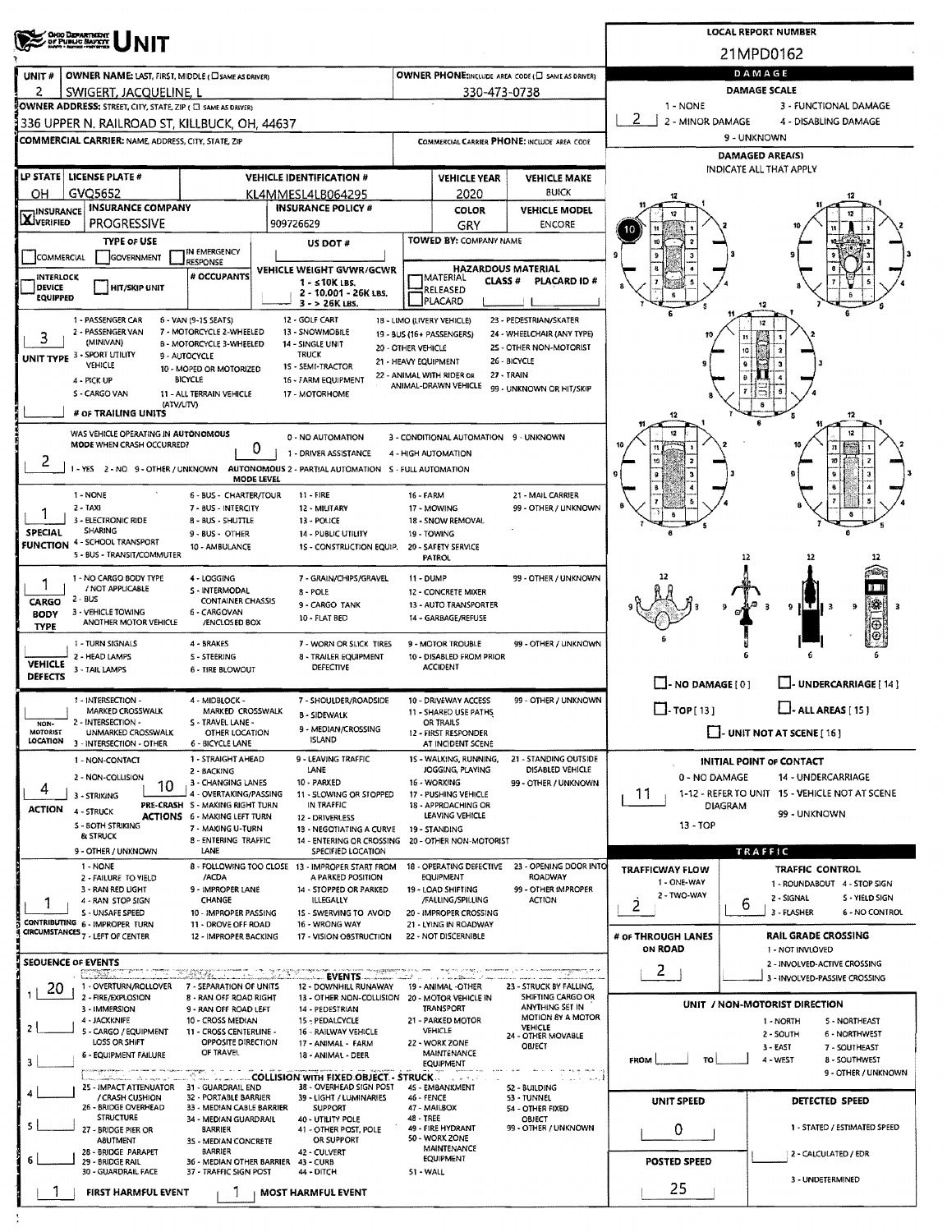